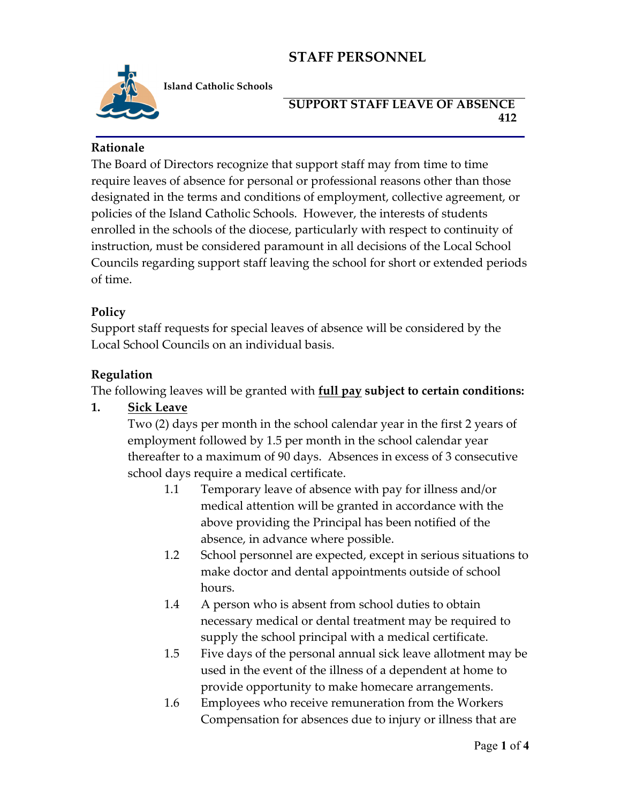

**Island Catholic Schools** 

#### **SUPPORT STAFF LEAVE OF ABSENCE 412**

## **Rationale**

The Board of Directors recognize that support staff may from time to time require leaves of absence for personal or professional reasons other than those designated in the terms and conditions of employment, collective agreement, or policies of the Island Catholic Schools. However, the interests of students enrolled in the schools of the diocese, particularly with respect to continuity of instruction, must be considered paramount in all decisions of the Local School Councils regarding support staff leaving the school for short or extended periods of time.

# **Policy**

Support staff requests for special leaves of absence will be considered by the Local School Councils on an individual basis.

## **Regulation**

The following leaves will be granted with **full pay subject to certain conditions:**

# **1. Sick Leave**

Two (2) days per month in the school calendar year in the first 2 years of employment followed by 1.5 per month in the school calendar year thereafter to a maximum of 90 days. Absences in excess of 3 consecutive school days require a medical certificate.

- 1.1 Temporary leave of absence with pay for illness and/or medical attention will be granted in accordance with the above providing the Principal has been notified of the absence, in advance where possible.
- 1.2 School personnel are expected, except in serious situations to make doctor and dental appointments outside of school hours.
- 1.4 A person who is absent from school duties to obtain necessary medical or dental treatment may be required to supply the school principal with a medical certificate.
- 1.5 Five days of the personal annual sick leave allotment may be used in the event of the illness of a dependent at home to provide opportunity to make homecare arrangements.
- 1.6 Employees who receive remuneration from the Workers Compensation for absences due to injury or illness that are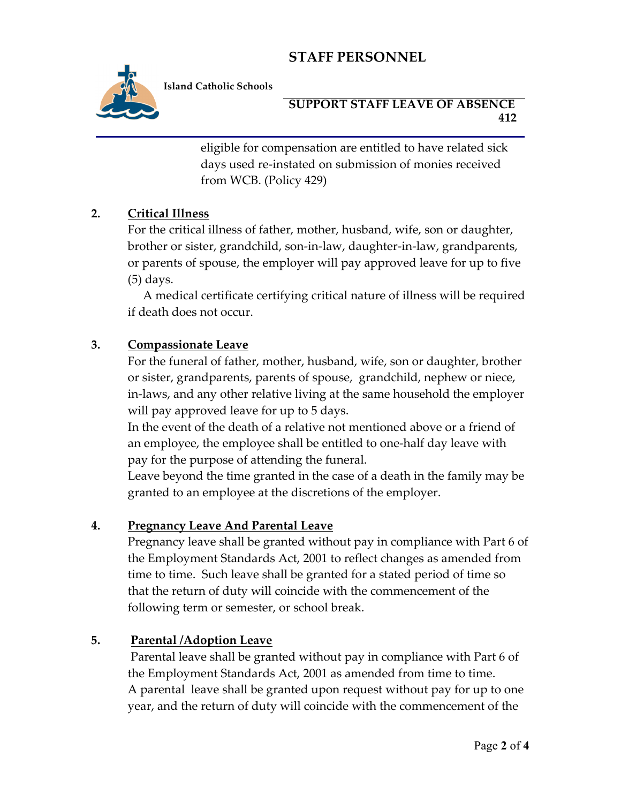

**Island Catholic Schools** 

#### **SUPPORT STAFF LEAVE OF ABSENCE 412**

eligible for compensation are entitled to have related sick days used re-instated on submission of monies received from WCB. (Policy 429)

## **2. Critical Illness**

For the critical illness of father, mother, husband, wife, son or daughter, brother or sister, grandchild, son-in-law, daughter-in-law, grandparents, or parents of spouse, the employer will pay approved leave for up to five (5) days.

 A medical certificate certifying critical nature of illness will be required if death does not occur.

#### **3. Compassionate Leave**

For the funeral of father, mother, husband, wife, son or daughter, brother or sister, grandparents, parents of spouse, grandchild, nephew or niece, in-laws, and any other relative living at the same household the employer will pay approved leave for up to 5 days.

In the event of the death of a relative not mentioned above or a friend of an employee, the employee shall be entitled to one-half day leave with pay for the purpose of attending the funeral.

Leave beyond the time granted in the case of a death in the family may be granted to an employee at the discretions of the employer.

#### **4. Pregnancy Leave And Parental Leave**

Pregnancy leave shall be granted without pay in compliance with Part 6 of the Employment Standards Act, 2001 to reflect changes as amended from time to time. Such leave shall be granted for a stated period of time so that the return of duty will coincide with the commencement of the following term or semester, or school break.

#### **5. Parental /Adoption Leave**

Parental leave shall be granted without pay in compliance with Part 6 of the Employment Standards Act, 2001 as amended from time to time. A parental leave shall be granted upon request without pay for up to one year, and the return of duty will coincide with the commencement of the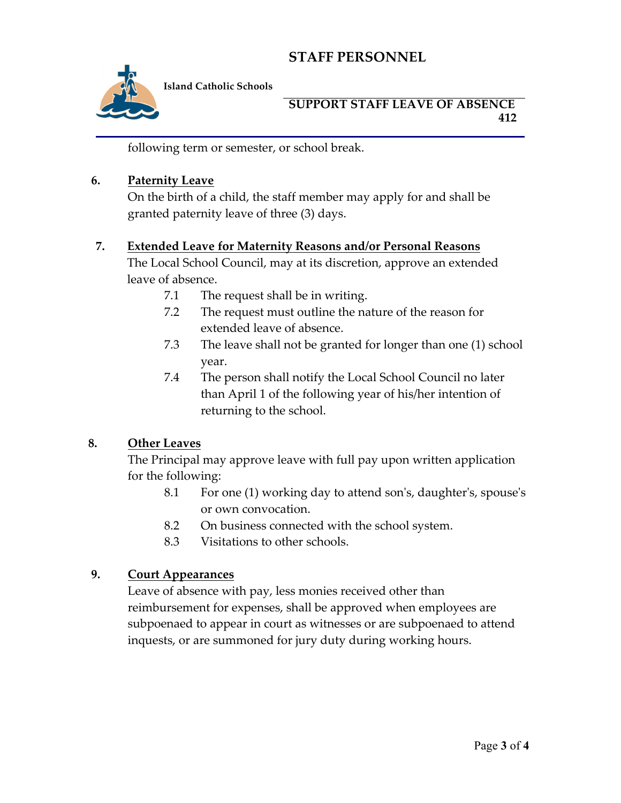

**Island Catholic Schools** 

#### **SUPPORT STAFF LEAVE OF ABSENCE 412**

following term or semester, or school break.

#### **6. Paternity Leave**

On the birth of a child, the staff member may apply for and shall be granted paternity leave of three (3) days.

## **7. Extended Leave for Maternity Reasons and/or Personal Reasons**

The Local School Council, may at its discretion, approve an extended leave of absence.

- 7.1 The request shall be in writing.
- 7.2 The request must outline the nature of the reason for extended leave of absence.
- 7.3 The leave shall not be granted for longer than one (1) school year.
- 7.4 The person shall notify the Local School Council no later than April 1 of the following year of his/her intention of returning to the school.

# **8. Other Leaves**

The Principal may approve leave with full pay upon written application for the following:

- 8.1 For one (1) working day to attend son's, daughter's, spouse's or own convocation.
- 8.2 On business connected with the school system.
- 8.3 Visitations to other schools.

#### **9. Court Appearances**

Leave of absence with pay, less monies received other than reimbursement for expenses, shall be approved when employees are subpoenaed to appear in court as witnesses or are subpoenaed to attend inquests, or are summoned for jury duty during working hours.